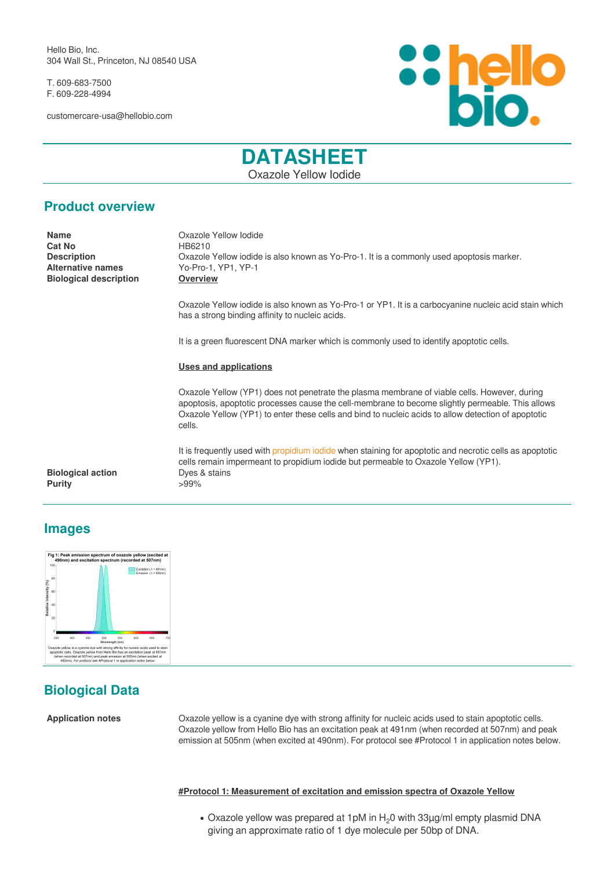Hello Bio, Inc. 304 Wall St., Princeton, NJ 08540 USA

T. 609-683-7500 F. 609-228-4994

customercare-usa@hellobio.com



# **DATASHEET** Oxazole Yellow Iodide

## **Product overview**

**Cat No** HB6210 **Biological description Overview**

**Name** Oxazole Yellow Iodide **Description Oxazole Yellow iodide is also known as Yo-Pro-1.** It is a commonly used apoptosis marker.<br>Alternative names **Startup Contact Alternative names** Yo-Pro-1. YP1. YP-1 **Alternative names** Yo-Pro-1, YP1, YP-1

> Oxazole Yellow iodide is also known as Yo-Pro-1 or YP1. It is a carbocyanine nucleic acid stain which has a strong binding affinity to nucleic acids.

It is a green fluorescent DNA marker which is commonly used to identify apoptotic cells.

### **Uses and applications**

Oxazole Yellow (YP1) does not penetrate the plasma membrane of viable cells. However, during apoptosis, apoptotic processes cause the cell-membrane to become slightly permeable. This allows Oxazole Yellow (YP1) to enter these cells and bind to nucleic acids to allow detection of apoptotic cells.

It is frequently used with [propidium iodide](https://hellobio.com/propidium-iodide.html) when staining for apoptotic and necrotic cells as apoptotic cells remain impermeant to propidium iodide but permeable to Oxazole Yellow (YP1).

**Biological action** Dyes & stains **Purity**  $>99\%$ 

## **Images**



# **Biological Data**

**Application notes** Oxazole yellow is a cyanine dye with strong affinity for nucleic acids used to stain apoptotic cells. Oxazole yellow from Hello Bio has an excitation peak at 491nm (when recorded at 507nm) and peak emission at 505nm (when excited at 490nm). For protocol see #Protocol 1 in application notes below.

**#Protocol 1: Measurement of excitation and emission spectra of Oxazole Yellow**

• Oxazole yellow was prepared at 1pM in H<sub>2</sub>0 with 33µg/ml empty plasmid DNA giving an approximate ratio of 1 dye molecule per 50bp of DNA.